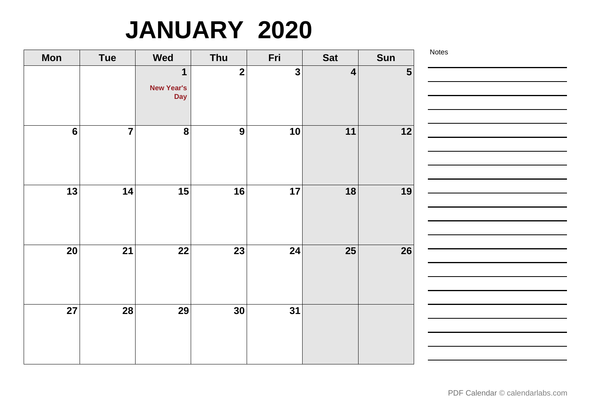# **JANUARY 2020**

| <b>Mon</b>      | Tue            | <b>Wed</b>                                     | Thu                     | Fri          | <b>Sat</b>              | Sun | Notes |
|-----------------|----------------|------------------------------------------------|-------------------------|--------------|-------------------------|-----|-------|
|                 |                | $\mathbf 1$<br><b>New Year's</b><br><b>Day</b> | $\overline{\mathbf{2}}$ | $\mathbf{3}$ | $\overline{\mathbf{4}}$ | 5   |       |
| $6\phantom{1}6$ | $\overline{7}$ | 8                                              | $\boldsymbol{9}$        | 10           | 11                      | 12  |       |
| 13              | 14             | 15                                             | 16                      | 17           | 18                      | 19  |       |
| 20              | 21             | 22                                             | 23                      | 24           | 25                      | 26  |       |
| $\overline{27}$ | 28             | 29                                             | 30                      | 31           |                         |     |       |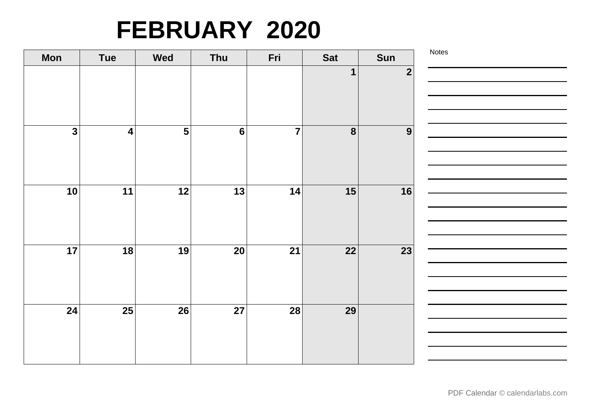### **FEBRUARY 2020**

| <b>Mon</b>              | <b>Tue</b>              | <b>Wed</b>              | Thu            | Fri            | <b>Sat</b> | Sun            | Notes |
|-------------------------|-------------------------|-------------------------|----------------|----------------|------------|----------------|-------|
|                         |                         |                         |                |                | 1          | $\overline{2}$ |       |
|                         |                         |                         |                |                |            |                |       |
|                         |                         |                         |                |                |            |                |       |
|                         |                         |                         |                |                |            |                |       |
| $\overline{\mathbf{3}}$ | $\overline{\mathbf{4}}$ | $\overline{\mathbf{5}}$ | $6\phantom{1}$ | $\overline{7}$ | 8          | 9              |       |
|                         |                         |                         |                |                |            |                |       |
|                         |                         |                         |                |                |            |                |       |
|                         |                         |                         |                |                |            |                |       |
| 10                      | 11                      | 12                      | 13             | 14             | 15         | 16             |       |
|                         |                         |                         |                |                |            |                |       |
|                         |                         |                         |                |                |            |                |       |
| 17                      | 18                      | 19                      | 20             | 21             | 22         | 23             |       |
|                         |                         |                         |                |                |            |                |       |
|                         |                         |                         |                |                |            |                |       |
|                         |                         |                         |                |                |            |                |       |
| 24                      | 25                      | 26                      | 27             | 28             | 29         |                |       |
|                         |                         |                         |                |                |            |                |       |
|                         |                         |                         |                |                |            |                |       |
|                         |                         |                         |                |                |            |                |       |
|                         |                         |                         |                |                |            |                |       |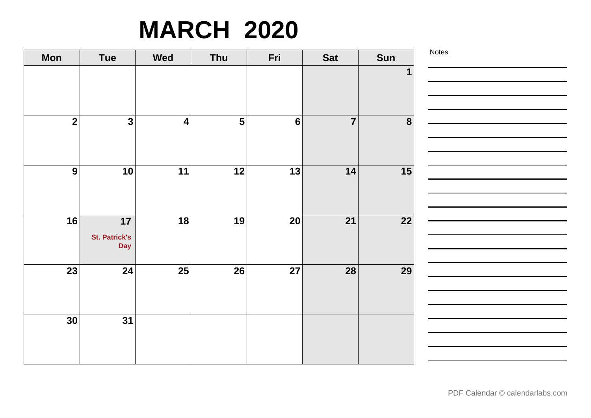# **MARCH 2020**

| <b>Mon</b>       | <b>Tue</b>                               | <b>Wed</b>              | Thu                     | Fri             | <b>Sat</b>     | Sun             | Notes |
|------------------|------------------------------------------|-------------------------|-------------------------|-----------------|----------------|-----------------|-------|
|                  |                                          |                         |                         |                 |                | $\mathbf 1$     |       |
| $\overline{2}$   | $\overline{\mathbf{3}}$                  | $\overline{\mathbf{4}}$ | $\overline{\mathbf{5}}$ | $6\phantom{a}$  | $\overline{7}$ | 8               |       |
| $\boldsymbol{9}$ | 10                                       | 11                      | 12                      | 13              | 14             | 15              |       |
| 16               | 17<br><b>St. Patrick's</b><br><b>Day</b> | 18                      | 19                      | 20              | 21             | 22              |       |
| $\overline{23}$  | $\overline{24}$                          | $\overline{25}$         | 26                      | $\overline{27}$ | <b>28</b>      | $\overline{29}$ |       |
| 30               | $\overline{31}$                          |                         |                         |                 |                |                 |       |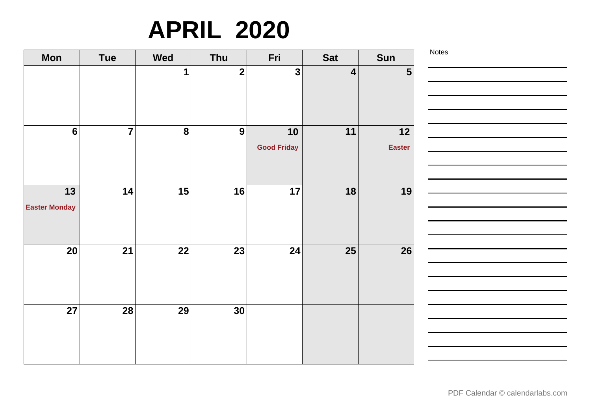# **APRIL 2020**

| <b>Mon</b>           | <b>Tue</b>     | <b>Wed</b>       | Thu                     | Fri                | <b>Sat</b>              | Sun            | Notes |
|----------------------|----------------|------------------|-------------------------|--------------------|-------------------------|----------------|-------|
|                      |                | $\mathbf 1$      | $\overline{\mathbf{2}}$ | $\mathbf{3}$       | $\overline{\mathbf{4}}$ | $5\phantom{1}$ |       |
|                      |                |                  |                         |                    |                         |                |       |
|                      |                |                  |                         |                    |                         |                |       |
|                      | $\overline{7}$ |                  |                         |                    |                         |                |       |
| $6\phantom{a}$       |                | $\boldsymbol{8}$ | $\boldsymbol{9}$        | 10                 | 11                      | $12$           |       |
|                      |                |                  |                         | <b>Good Friday</b> |                         | <b>Easter</b>  |       |
|                      |                |                  |                         |                    |                         |                |       |
|                      |                |                  |                         |                    |                         |                |       |
| $13$                 | 14             | 15               | 16                      | 17                 | 18                      | 19             |       |
| <b>Easter Monday</b> |                |                  |                         |                    |                         |                |       |
|                      |                |                  |                         |                    |                         |                |       |
|                      |                |                  |                         |                    |                         |                |       |
| 20                   | 21             | 22               | 23                      | 24                 | 25                      | 26             |       |
|                      |                |                  |                         |                    |                         |                |       |
|                      |                |                  |                         |                    |                         |                |       |
|                      |                |                  |                         |                    |                         |                |       |
| 27                   | 28             | 29               | 30                      |                    |                         |                |       |
|                      |                |                  |                         |                    |                         |                |       |
|                      |                |                  |                         |                    |                         |                |       |
|                      |                |                  |                         |                    |                         |                |       |
|                      |                |                  |                         |                    |                         |                |       |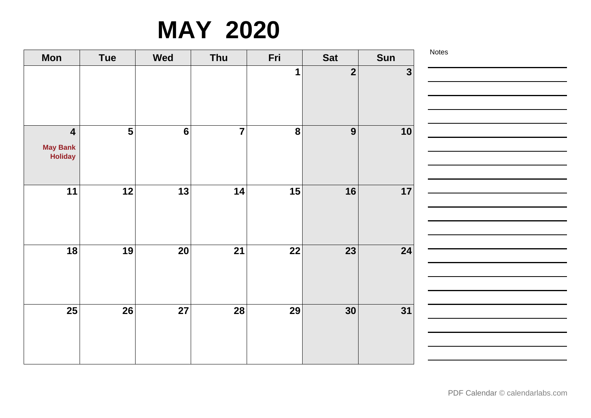### **MAY 2020**

| <b>Mon</b>                                            | <b>Tue</b>              | <b>Wed</b>     | Thu            | Fri            | <b>Sat</b>      | Sun          | Notes |
|-------------------------------------------------------|-------------------------|----------------|----------------|----------------|-----------------|--------------|-------|
|                                                       |                         |                |                | 1              | $\overline{2}$  | $\mathbf{3}$ |       |
| $\overline{\mathbf{4}}$<br><b>May Bank</b><br>Holiday | $\overline{\mathbf{5}}$ | $6\phantom{a}$ | $\overline{7}$ | $\overline{8}$ | $\overline{9}$  | 10           |       |
| 11                                                    | 12                      | 13             | 14             | 15             | 16              | 17           |       |
| 18                                                    | 19                      | 20             | 21             | 22             | 23              | 24           |       |
| 25                                                    | 26                      | 27             | 28             | 29             | 30 <sup>°</sup> | 31           |       |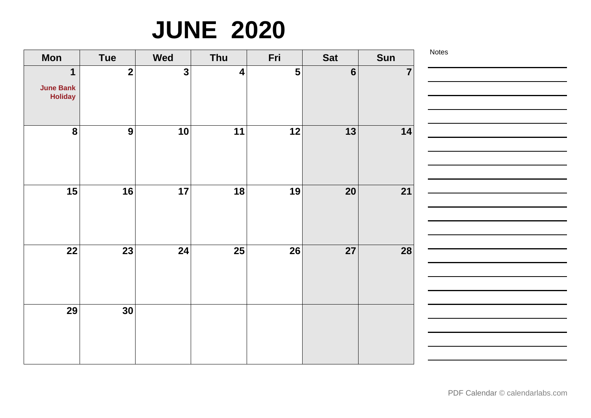# **JUNE 2020**

| <b>Mon</b>                                        | <b>Tue</b>       | <b>Wed</b>   | Thu              | Fri            | <b>Sat</b>      | Sun            | Notes |
|---------------------------------------------------|------------------|--------------|------------------|----------------|-----------------|----------------|-------|
| $\mathbf 1$<br><b>June Bank</b><br><b>Holiday</b> | $\mathbf{2}$     | $\mathbf{3}$ | $\boldsymbol{4}$ | $5\phantom{1}$ | $6\phantom{1}6$ | $\overline{7}$ |       |
| $\bf{8}$                                          | $\boldsymbol{9}$ | 10           | 11               | 12             | $\overline{13}$ | 14             |       |
| 15                                                | 16               | 17           | 18               | 19             | <b>20</b>       | 21             |       |
| 22                                                | 23               | 24           | 25               | 26             | 27              | 28             |       |
| 29                                                | 30               |              |                  |                |                 |                |       |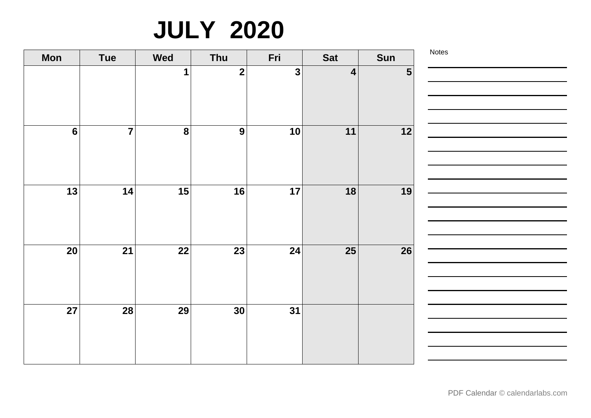# **JULY 2020**

| <b>Mon</b>      | <b>Tue</b>     | <b>Wed</b>       | Thu              | Fri | <b>Sat</b>              | Sun            | Notes |
|-----------------|----------------|------------------|------------------|-----|-------------------------|----------------|-------|
|                 |                | $\mathbf 1$      | $\overline{2}$   | 3   | $\overline{\mathbf{4}}$ | $5\phantom{1}$ |       |
|                 |                |                  |                  |     |                         |                |       |
|                 |                |                  |                  |     |                         |                |       |
| $6\phantom{1}6$ | $\overline{7}$ | $\boldsymbol{8}$ | $\boldsymbol{9}$ | 10  | 11                      | 12             |       |
|                 |                |                  |                  |     |                         |                |       |
|                 |                |                  |                  |     |                         |                |       |
|                 |                |                  |                  |     |                         |                |       |
| 13              | 14             | 15               | 16               | 17  | 18                      | 19             |       |
|                 |                |                  |                  |     |                         |                |       |
|                 |                |                  |                  |     |                         |                |       |
| 20              | 21             | 22               | 23               | 24  | <b>25</b>               | 26             |       |
|                 |                |                  |                  |     |                         |                |       |
|                 |                |                  |                  |     |                         |                |       |
|                 |                |                  |                  |     |                         |                |       |
| $\overline{27}$ | 28             | 29               | 30 <sup>°</sup>  | 31  |                         |                |       |
|                 |                |                  |                  |     |                         |                |       |
|                 |                |                  |                  |     |                         |                |       |
|                 |                |                  |                  |     |                         |                |       |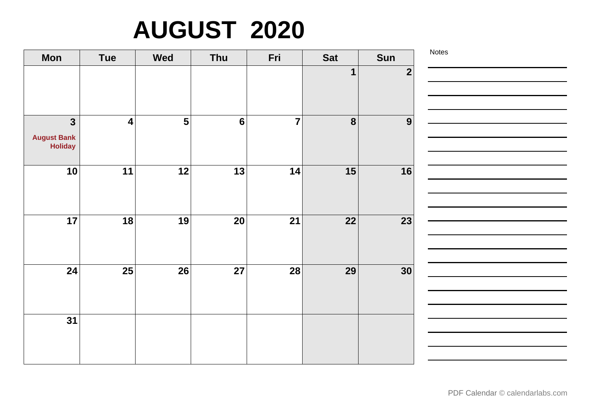# **AUGUST 2020**

| <b>Mon</b>                                                      | <b>Tue</b>      | <b>Wed</b>              | Thu            | Fri            | <b>Sat</b>       | Sun                     | Notes |
|-----------------------------------------------------------------|-----------------|-------------------------|----------------|----------------|------------------|-------------------------|-------|
|                                                                 |                 |                         |                |                | 1                | $\overline{\mathbf{2}}$ |       |
| $\overline{\mathbf{3}}$<br><b>August Bank</b><br><b>Holiday</b> | 4               | $\overline{\mathbf{5}}$ | $6\phantom{1}$ | $\overline{7}$ | $\boldsymbol{8}$ | 9                       |       |
| 10                                                              | 11              | 12                      | 13             | 14             | 15               | 16                      |       |
| 17                                                              | 18              | 19                      | 20             | 21             | 22               | 23                      |       |
| 24                                                              | $\overline{25}$ | 26                      | 27             | 28             | 29               | 30                      |       |
| $\overline{31}$                                                 |                 |                         |                |                |                  |                         |       |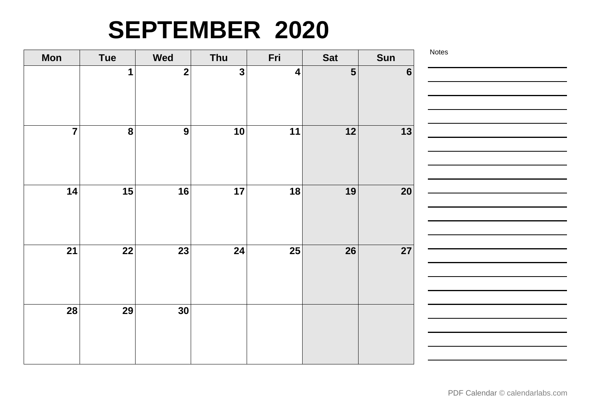### **SEPTEMBER 2020**

| <b>Mon</b>     | <b>Tue</b>              | <b>Wed</b>              | Thu                     | Fri              | Sat                      | Sun            | Notes |
|----------------|-------------------------|-------------------------|-------------------------|------------------|--------------------------|----------------|-------|
|                | 1                       | $\overline{\mathbf{2}}$ | $\overline{\mathbf{3}}$ | $\boldsymbol{4}$ | $5\phantom{1}$           | $6\phantom{1}$ |       |
| $\overline{7}$ | $\overline{\mathbf{8}}$ | $\overline{9}$          | 10                      | 11               | $\overline{\mathbf{12}}$ | 13             |       |
| 14             | 15                      | 16                      | 17                      | 18               | 19                       | 20             |       |
|                |                         |                         |                         |                  |                          |                |       |
| 21             | 22                      | 23                      | 24                      | 25               | 26                       | 27             |       |
| 28             | 29                      | 30                      |                         |                  |                          |                |       |
|                |                         |                         |                         |                  |                          |                |       |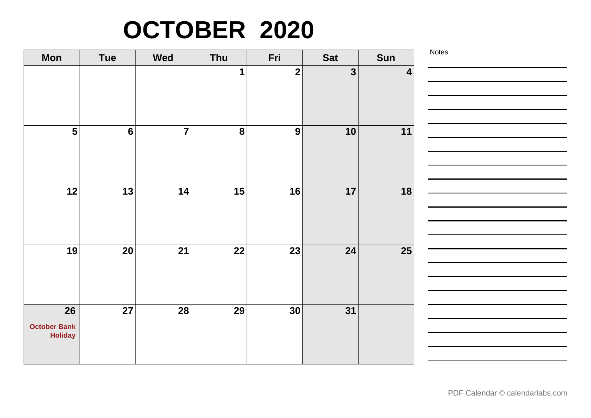# **OCTOBER 2020**

| <b>Mon</b>                            | Tue            | <b>Wed</b>     | Thu              | Fri            | <b>Sat</b>   | Sun | Notes |
|---------------------------------------|----------------|----------------|------------------|----------------|--------------|-----|-------|
|                                       |                |                | $\mathbf 1$      | $\overline{2}$ | $\mathbf{3}$ | 4   |       |
|                                       |                |                |                  |                |              |     |       |
|                                       |                |                |                  |                |              |     |       |
| $\overline{\mathbf{5}}$               | $6\phantom{1}$ | $\overline{7}$ | $\boldsymbol{8}$ | 9              | 10           | 11  |       |
|                                       |                |                |                  |                |              |     |       |
|                                       |                |                |                  |                |              |     |       |
| 12                                    | 13             | 14             | 15               | 16             | 17           | 18  |       |
|                                       |                |                |                  |                |              |     |       |
|                                       |                |                |                  |                |              |     |       |
| 19                                    | 20             | 21             | 22               | 23             | 24           | 25  |       |
|                                       |                |                |                  |                |              |     |       |
|                                       |                |                |                  |                |              |     |       |
| 26                                    | 27             | 28             | 29               | 30             | 31           |     |       |
|                                       |                |                |                  |                |              |     |       |
| <b>October Bank</b><br><b>Holiday</b> |                |                |                  |                |              |     |       |
|                                       |                |                |                  |                |              |     |       |
|                                       |                |                |                  |                |              |     |       |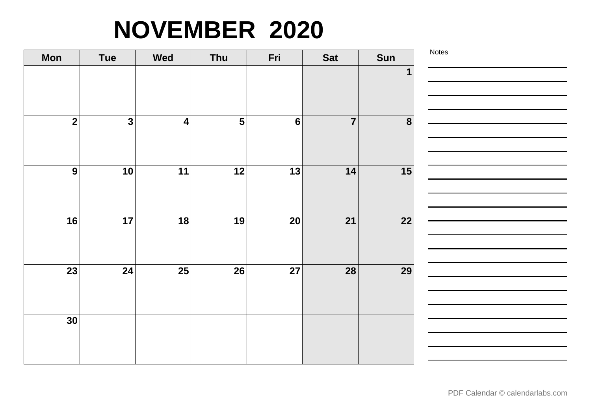# **NOVEMBER 2020**

| <b>Mon</b>      | <b>Tue</b>              | <b>Wed</b>              | Thu                     | Fri             | <b>Sat</b>      | Sun              | Notes |
|-----------------|-------------------------|-------------------------|-------------------------|-----------------|-----------------|------------------|-------|
|                 |                         |                         |                         |                 |                 | 1                |       |
|                 |                         |                         |                         |                 |                 |                  |       |
|                 |                         |                         |                         |                 |                 |                  |       |
| $\overline{2}$  | $\overline{\mathbf{3}}$ | $\overline{\mathbf{4}}$ | $\overline{\mathbf{5}}$ | $6\phantom{1}$  | $\overline{7}$  | $\boldsymbol{8}$ |       |
|                 |                         |                         |                         |                 |                 |                  |       |
|                 |                         |                         |                         |                 |                 |                  |       |
| $\overline{9}$  | 10                      | 11                      | $\overline{12}$         | $\overline{13}$ | 14              | 15               |       |
|                 |                         |                         |                         |                 |                 |                  |       |
|                 |                         |                         |                         |                 |                 |                  |       |
| 16              | 17                      | 18                      | 19                      | 20              | $\overline{21}$ | 22               |       |
|                 |                         |                         |                         |                 |                 |                  |       |
|                 |                         |                         |                         |                 |                 |                  |       |
| $\overline{23}$ | 24                      | $\overline{25}$         | $\overline{26}$         | $\overline{27}$ | 28              | $\overline{29}$  |       |
|                 |                         |                         |                         |                 |                 |                  |       |
|                 |                         |                         |                         |                 |                 |                  |       |
| 30              |                         |                         |                         |                 |                 |                  |       |
|                 |                         |                         |                         |                 |                 |                  |       |
|                 |                         |                         |                         |                 |                 |                  |       |

 $\overline{\phantom{a}}$ 

 $\overline{\phantom{a}}$